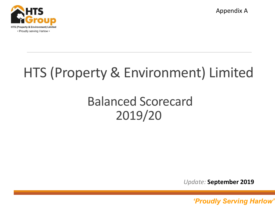

Appendix A

# HTS (Property & Environment) Limited

## Balanced Scorecard 2019/20

*Update:* **September 2019**

*'Proudly serving Harlow' 'Proudly Serving Harlow'* <sup>1</sup>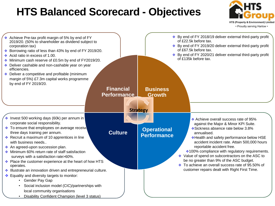### **HTS Balanced Scorecard - Objectives**



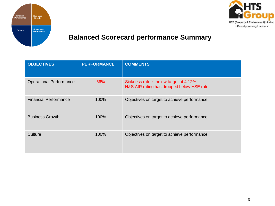



#### **Balanced Scorecard performance Summary**

| <b>OBJECTIVES</b>              | <b>PERFORMANCE</b> | <b>COMMENTS</b>                                                                       |
|--------------------------------|--------------------|---------------------------------------------------------------------------------------|
| <b>Operational Performance</b> | 66%                | Sickness rate is below target at 4.12%.<br>H&S AIR rating has dropped below HSE rate. |
| <b>Financial Performance</b>   | 100%               | Objectives on target to achieve performance.                                          |
| <b>Business Growth</b>         | 100%               | Objectives on target to achieve performance.                                          |
| Culture                        | 100%               | Objectives on target to achieve performance.                                          |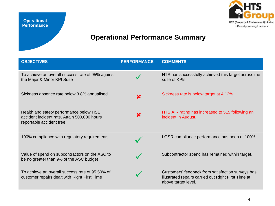

#### **Operational Performance Summary**

| <b>OBJECTIVES</b>                                                                                                    | <b>PERFORMANCE</b> | <b>COMMENTS</b>                                                                                                                 |
|----------------------------------------------------------------------------------------------------------------------|--------------------|---------------------------------------------------------------------------------------------------------------------------------|
| To achieve an overall success rate of 95% against<br>the Major & Minor KPI Suite                                     |                    | HTS has successfully achieved this target across the<br>suite of KPIs.                                                          |
| Sickness absence rate below 3.8% annualised                                                                          | X                  | Sickness rate is below target at 4.12%.                                                                                         |
| Health and safety performance below HSE<br>accident incident rate. Attain 500,000 hours<br>reportable accident free. | X                  | HTS AIR rating has increased to 515 following an<br>incident in August.                                                         |
| 100% compliance with regulatory requirements                                                                         |                    | LGSR compliance performance has been at 100%.                                                                                   |
| Value of spend on subcontractors on the ASC to<br>be no greater than 9% of the ASC budget                            |                    | Subcontractor spend has remained within target.                                                                                 |
| To achieve an overall success rate of 95.50% of<br>customer repairs dealt with Right First Time                      |                    | Customers' feedback from satisfaction surveys has<br>illustrated repairs carried out Right First Time at<br>above target level. |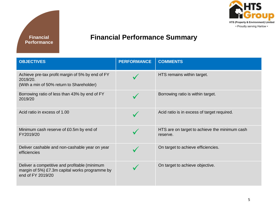



#### **Financial Performance Summary**

| <b>OBJECTIVES</b>                                                                                                    | <b>PERFORMANCE</b> | <b>COMMENTS</b>                                           |
|----------------------------------------------------------------------------------------------------------------------|--------------------|-----------------------------------------------------------|
| Achieve pre-tax profit margin of 5% by end of FY<br>2019/20.<br>(With a min of 50% return to Shareholder)            |                    | HTS remains within target.                                |
| Borrowing ratio of less than 43% by end of FY<br>2019/20                                                             |                    | Borrowing ratio is within target.                         |
| Acid ratio in excess of 1.00                                                                                         |                    | Acid ratio is in excess of target required.               |
| Minimum cash reserve of £0.5m by end of<br>FY2019/20                                                                 |                    | HTS are on target to achieve the minimum cash<br>reserve. |
| Deliver cashable and non-cashable year on year<br>efficiencies                                                       |                    | On target to achieve efficiencies.                        |
| Deliver a competitive and profitable (minimum<br>margin of 5%) £7.3m capital works programme by<br>end of FY 2019/20 |                    | On target to achieve objective.                           |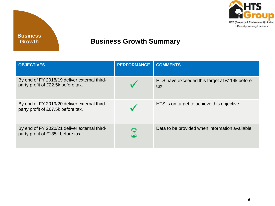

#### **Business Growth Summary**

| <b>OBJECTIVES</b>                                                                  | <b>PERFORMANCE</b> | <b>COMMENTS</b>                                       |
|------------------------------------------------------------------------------------|--------------------|-------------------------------------------------------|
| By end of FY 2018/19 deliver external third-<br>party profit of £22.5k before tax. |                    | HTS have exceeded this target at £119k before<br>tax. |
| By end of FY 2019/20 deliver external third-<br>party profit of £67.5k before tax. |                    | HTS is on target to achieve this objective.           |
| By end of FY 2020/21 deliver external third-<br>party profit of £135k before tax.  |                    | Data to be provided when information available.       |